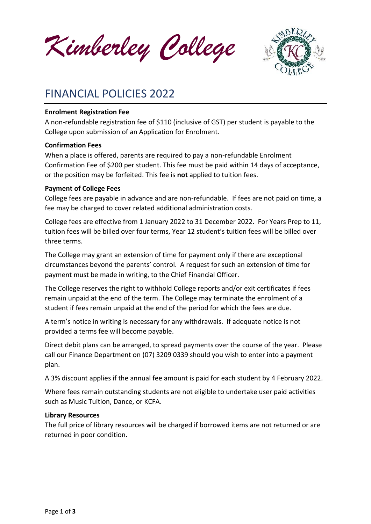*Kimberley College*



# FINANCIAL POLICIES 2022

## **Enrolment Registration Fee**

A non-refundable registration fee of \$110 (inclusive of GST) per student is payable to the College upon submission of an Application for Enrolment.

## **Confirmation Fees**

When a place is offered, parents are required to pay a non-refundable Enrolment Confirmation Fee of \$200 per student. This fee must be paid within 14 days of acceptance, or the position may be forfeited. This fee is **not** applied to tuition fees.

## **Payment of College Fees**

College fees are payable in advance and are non-refundable. If fees are not paid on time, a fee may be charged to cover related additional administration costs.

College fees are effective from 1 January 2022 to 31 December 2022. For Years Prep to 11, tuition fees will be billed over four terms, Year 12 student's tuition fees will be billed over three terms.

The College may grant an extension of time for payment only if there are exceptional circumstances beyond the parents' control. A request for such an extension of time for payment must be made in writing, to the Chief Financial Officer.

The College reserves the right to withhold College reports and/or exit certificates if fees remain unpaid at the end of the term. The College may terminate the enrolment of a student if fees remain unpaid at the end of the period for which the fees are due.

A term's notice in writing is necessary for any withdrawals. If adequate notice is not provided a terms fee will become payable.

Direct debit plans can be arranged, to spread payments over the course of the year. Please call our Finance Department on (07) 3209 0339 should you wish to enter into a payment plan.

A 3% discount applies if the annual fee amount is paid for each student by 4 February 2022.

Where fees remain outstanding students are not eligible to undertake user paid activities such as Music Tuition, Dance, or KCFA.

## **Library Resources**

The full price of library resources will be charged if borrowed items are not returned or are returned in poor condition.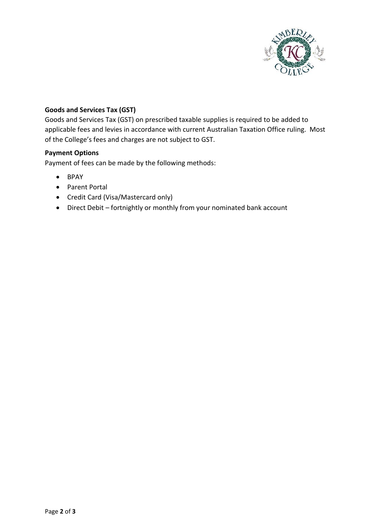

## **Goods and Services Tax (GST)**

Goods and Services Tax (GST) on prescribed taxable supplies is required to be added to applicable fees and levies in accordance with current Australian Taxation Office ruling. Most of the College's fees and charges are not subject to GST.

## **Payment Options**

Payment of fees can be made by the following methods:

- BPAY
- Parent Portal
- Credit Card (Visa/Mastercard only)
- Direct Debit fortnightly or monthly from your nominated bank account